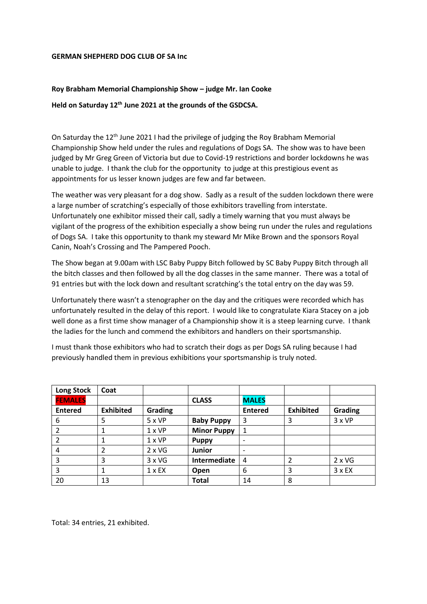## **GERMAN SHEPHERD DOG CLUB OF SA Inc**

## **Roy Brabham Memorial Championship Show – judge Mr. Ian Cooke**

## **Held on Saturday 12th June 2021 at the grounds of the GSDCSA.**

On Saturday the 12<sup>th</sup> June 2021 I had the privilege of judging the Roy Brabham Memorial Championship Show held under the rules and regulations of Dogs SA. The show was to have been judged by Mr Greg Green of Victoria but due to Covid-19 restrictions and border lockdowns he was unable to judge. I thank the club for the opportunity to judge at this prestigious event as appointments for us lesser known judges are few and far between.

The weather was very pleasant for a dog show. Sadly as a result of the sudden lockdown there were a large number of scratching's especially of those exhibitors travelling from interstate. Unfortunately one exhibitor missed their call, sadly a timely warning that you must always be vigilant of the progress of the exhibition especially a show being run under the rules and regulations of Dogs SA. I take this opportunity to thank my steward Mr Mike Brown and the sponsors Royal Canin, Noah's Crossing and The Pampered Pooch.

The Show began at 9.00am with LSC Baby Puppy Bitch followed by SC Baby Puppy Bitch through all the bitch classes and then followed by all the dog classes in the same manner. There was a total of 91 entries but with the lock down and resultant scratching's the total entry on the day was 59.

Unfortunately there wasn't a stenographer on the day and the critiques were recorded which has unfortunately resulted in the delay of this report. I would like to congratulate Kiara Stacey on a job well done as a first time show manager of a Championship show it is a steep learning curve. I thank the ladies for the lunch and commend the exhibitors and handlers on their sportsmanship.

I must thank those exhibitors who had to scratch their dogs as per Dogs SA ruling because I had previously handled them in previous exhibitions your sportsmanship is truly noted.

| <b>Long Stock</b> | Coat             |                     |                    |                              |                  |               |
|-------------------|------------------|---------------------|--------------------|------------------------------|------------------|---------------|
| <b>FEMALES</b>    |                  |                     | <b>CLASS</b>       | <b>MALES</b>                 |                  |               |
| <b>Entered</b>    | <b>Exhibited</b> | Grading             |                    | <b>Entered</b>               | <b>Exhibited</b> | Grading       |
| 6                 | 5                | $5 \times VP$       | <b>Baby Puppy</b>  | 3                            | 3                | 3xVP          |
|                   |                  | $1 \times VP$       | <b>Minor Puppy</b> | 1                            |                  |               |
|                   |                  | $1 \times VP$       | <b>Puppy</b>       | $\qquad \qquad \blacksquare$ |                  |               |
| 4                 | 2                | $2 \times \sqrt{G}$ | <b>Junior</b>      | $\overline{\phantom{a}}$     |                  |               |
| 3                 | 3                | $3 \times \sqrt{G}$ | Intermediate       | 4                            |                  | $2 \times VG$ |
| 3                 |                  | $1 \times EX$       | Open               | 6                            | 3                | $3x$ EX       |
| 20                | 13               |                     | <b>Total</b>       | 14                           | 8                |               |

Total: 34 entries, 21 exhibited.